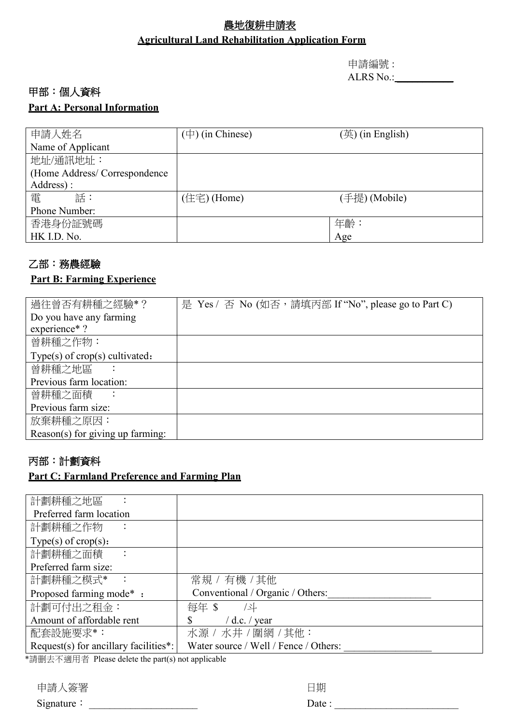## 農地復耕申請表 **Agricultural Land Rehabilitation Application Form**

申請編號 : ALRS No.: \_\_\_\_\_\_\_\_\_\_\_

#### 甲部:個人資料

#### **Part A: Personal Information**

| 申請人姓名                        | $(\pm)$ (in Chinese) | $(\ddot{\mathbb{H}})$ (in English) |
|------------------------------|----------------------|------------------------------------|
| Name of Applicant            |                      |                                    |
| 地址/通訊地址:                     |                      |                                    |
| (Home Address/Correspondence |                      |                                    |
| Address):                    |                      |                                    |
| 電<br>話:                      | (住宅) (Home)          | (手提) (Mobile)                      |
| Phone Number:                |                      |                                    |
| 香港身份証號碼                      |                      | 年齡:                                |
| HK I.D. No.                  |                      | Age                                |

## 乙部:務農經驗

#### **Part B: Farming Experience**

| 過往曾否有耕種之經驗*?                            | 是 Yes / 否 No (如否,請填丙部 If "No", please go to Part C) |
|-----------------------------------------|-----------------------------------------------------|
| Do you have any farming                 |                                                     |
| experience*?                            |                                                     |
| 曾耕種之作物:                                 |                                                     |
| Type(s) of $\text{crop}(s)$ cultivated: |                                                     |
| 曾耕種之地區                                  |                                                     |
| Previous farm location:                 |                                                     |
| 曾耕種之面積                                  |                                                     |
| Previous farm size:                     |                                                     |
| 放棄耕種之原因:                                |                                                     |
| Reason(s) for giving up farming:        |                                                     |

## 丙部:計劃資料

#### **Part C: Farmland Preference and Farming Plan**

| 計劃耕種之地區                               |                                       |
|---------------------------------------|---------------------------------------|
| Preferred farm location               |                                       |
| 計劃耕種之作物                               |                                       |
| Type(s) of $\text{crop}(s)$ :         |                                       |
| 計劃耕種之面積                               |                                       |
| Preferred farm size:                  |                                       |
| 計劃耕種之模式* :                            | 常規 / 有機 / 其他                          |
| Proposed farming mode*:               | Conventional / Organic / Others:      |
| 計劃可付出之租金:                             | 每年 \$<br>/화                           |
| Amount of affordable rent             | $/$ d.c. $/$ year                     |
| 配套設施要求*:                              | 水源 / 水井 / 圍網 / 其他:                    |
| Request(s) for ancillary facilities*: | Water source / Well / Fence / Others: |

\*請删去不適用者 Please delete the part(s) not applicable

| 申請人簽署      | 日期           |
|------------|--------------|
| Signature: | Date $\cdot$ |